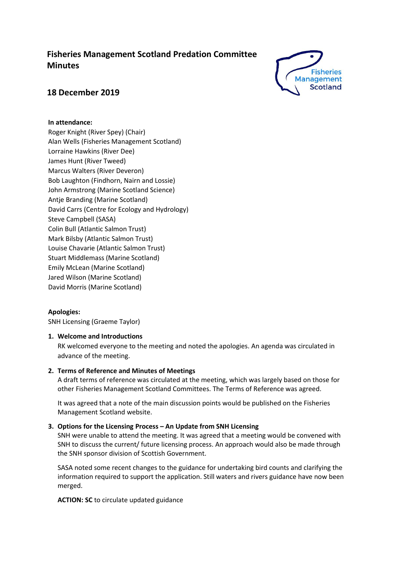# **Fisheries Management Scotland Predation Committee Minutes**



## **18 December 2019**

## **In attendance:**

Roger Knight (River Spey) (Chair) Alan Wells (Fisheries Management Scotland) Lorraine Hawkins (River Dee) James Hunt (River Tweed) Marcus Walters (River Deveron) Bob Laughton (Findhorn, Nairn and Lossie) John Armstrong (Marine Scotland Science) Antje Branding (Marine Scotland) David Carrs (Centre for Ecology and Hydrology) Steve Campbell (SASA) Colin Bull (Atlantic Salmon Trust) Mark Bilsby (Atlantic Salmon Trust) Louise Chavarie (Atlantic Salmon Trust) Stuart Middlemass (Marine Scotland) Emily McLean (Marine Scotland) Jared Wilson (Marine Scotland) David Morris (Marine Scotland)

## **Apologies:**

SNH Licensing (Graeme Taylor)

## **1. Welcome and Introductions**

RK welcomed everyone to the meeting and noted the apologies. An agenda was circulated in advance of the meeting.

### **2. Terms of Reference and Minutes of Meetings**

A draft terms of reference was circulated at the meeting, which was largely based on those for other Fisheries Management Scotland Committees. The Terms of Reference was agreed.

It was agreed that a note of the main discussion points would be published on the Fisheries Management Scotland website.

## **3. Options for the Licensing Process – An Update from SNH Licensing**

SNH were unable to attend the meeting. It was agreed that a meeting would be convened with SNH to discuss the current/ future licensing process. An approach would also be made through the SNH sponsor division of Scottish Government.

SASA noted some recent changes to the guidance for undertaking bird counts and clarifying the information required to support the application. Still waters and rivers guidance have now been merged.

**ACTION: SC** to circulate updated guidance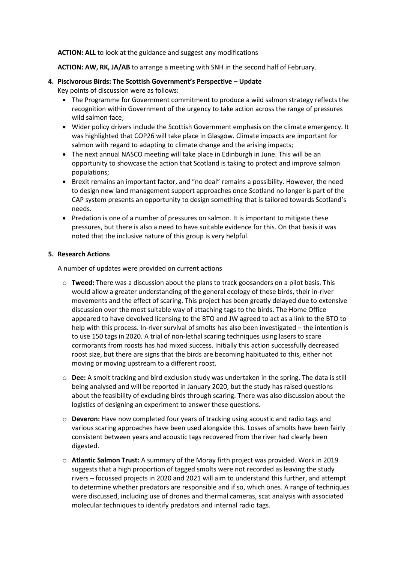#### **ACTION: ALL** to look at the guidance and suggest any modifications

**ACTION: AW, RK, JA/AB** to arrange a meeting with SNH in the second half of February.

- **4. Piscivorous Birds: The Scottish Government's Perspective – Update**
	- Key points of discussion were as follows:
		- The Programme for Government commitment to produce a wild salmon strategy reflects the recognition within Government of the urgency to take action across the range of pressures wild salmon face;
		- Wider policy drivers include the Scottish Government emphasis on the climate emergency. It was highlighted that COP26 will take place in Glasgow. Climate impacts are important for salmon with regard to adapting to climate change and the arising impacts;
		- The next annual NASCO meeting will take place in Edinburgh in June. This will be an opportunity to showcase the action that Scotland is taking to protect and improve salmon populations;
		- Brexit remains an important factor, and "no deal" remains a possibility. However, the need to design new land management support approaches once Scotland no longer is part of the CAP system presents an opportunity to design something that is tailored towards Scotland's needs.
		- Predation is one of a number of pressures on salmon. It is important to mitigate these pressures, but there is also a need to have suitable evidence for this. On that basis it was noted that the inclusive nature of this group is very helpful.

### **5. Research Actions**

A number of updates were provided on current actions

- o **Tweed:** There was a discussion about the plans to track goosanders on a pilot basis. This would allow a greater understanding of the general ecology of these birds, their in-river movements and the effect of scaring. This project has been greatly delayed due to extensive discussion over the most suitable way of attaching tags to the birds. The Home Office appeared to have devolved licensing to the BTO and JW agreed to act as a link to the BTO to help with this process. In-river survival of smolts has also been investigated – the intention is to use 150 tags in 2020. A trial of non-lethal scaring techniques using lasers to scare cormorants from roosts has had mixed success. Initially this action successfully decreased roost size, but there are signs that the birds are becoming habituated to this, either not moving or moving upstream to a different roost.
- o **Dee:** A smolt tracking and bird exclusion study was undertaken in the spring. The data is still being analysed and will be reported in January 2020, but the study has raised questions about the feasibility of excluding birds through scaring. There was also discussion about the logistics of designing an experiment to answer these questions.
- o **Deveron:** Have now completed four years of tracking using acoustic and radio tags and various scaring approaches have been used alongside this. Losses of smolts have been fairly consistent between years and acoustic tags recovered from the river had clearly been digested.
- o **Atlantic Salmon Trust:** A summary of the Moray firth project was provided. Work in 2019 suggests that a high proportion of tagged smolts were not recorded as leaving the study rivers – focussed projects in 2020 and 2021 will aim to understand this further, and attempt to determine whether predators are responsible and if so, which ones. A range of techniques were discussed, including use of drones and thermal cameras, scat analysis with associated molecular techniques to identify predators and internal radio tags.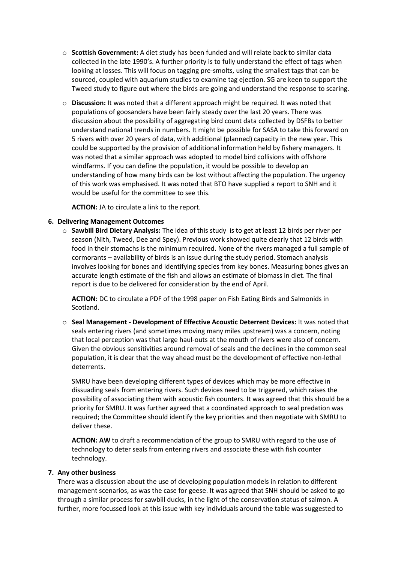- o **Scottish Government:** A diet study has been funded and will relate back to similar data collected in the late 1990's. A further priority is to fully understand the effect of tags when looking at losses. This will focus on tagging pre-smolts, using the smallest tags that can be sourced, coupled with aquarium studies to examine tag ejection. SG are keen to support the Tweed study to figure out where the birds are going and understand the response to scaring.
- o **Discussion:** It was noted that a different approach might be required. It was noted that populations of goosanders have been fairly steady over the last 20 years. There was discussion about the possibility of aggregating bird count data collected by DSFBs to better understand national trends in numbers. It might be possible for SASA to take this forward on 5 rivers with over 20 years of data, with additional (planned) capacity in the new year. This could be supported by the provision of additional information held by fishery managers. It was noted that a similar approach was adopted to model bird collisions with offshore windfarms. If you can define the population, it would be possible to develop an understanding of how many birds can be lost without affecting the population. The urgency of this work was emphasised. It was noted that BTO have supplied a report to SNH and it would be useful for the committee to see this.

**ACTION:** JA to circulate a link to the report.

### **6. Delivering Management Outcomes**

o **Sawbill Bird Dietary Analysis:** The idea of this study is to get at least 12 birds per river per season (Nith, Tweed, Dee and Spey). Previous work showed quite clearly that 12 birds with food in their stomachs is the minimum required. None of the rivers managed a full sample of cormorants – availability of birds is an issue during the study period. Stomach analysis involves looking for bones and identifying species from key bones. Measuring bones gives an accurate length estimate of the fish and allows an estimate of biomass in diet. The final report is due to be delivered for consideration by the end of April.

**ACTION:** DC to circulate a PDF of the 1998 paper on Fish Eating Birds and Salmonids in Scotland.

o **Seal Management - Development of Effective Acoustic Deterrent Devices:** It was noted that seals entering rivers (and sometimes moving many miles upstream) was a concern, noting that local perception was that large haul-outs at the mouth of rivers were also of concern. Given the obvious sensitivities around removal of seals and the declines in the common seal population, it is clear that the way ahead must be the development of effective non-lethal deterrents.

SMRU have been developing different types of devices which may be more effective in dissuading seals from entering rivers. Such devices need to be triggered, which raises the possibility of associating them with acoustic fish counters. It was agreed that this should be a priority for SMRU. It was further agreed that a coordinated approach to seal predation was required; the Committee should identify the key priorities and then negotiate with SMRU to deliver these.

**ACTION: AW** to draft a recommendation of the group to SMRU with regard to the use of technology to deter seals from entering rivers and associate these with fish counter technology.

### **7. Any other business**

There was a discussion about the use of developing population models in relation to different management scenarios, as was the case for geese. It was agreed that SNH should be asked to go through a similar process for sawbill ducks, in the light of the conservation status of salmon. A further, more focussed look at this issue with key individuals around the table was suggested to